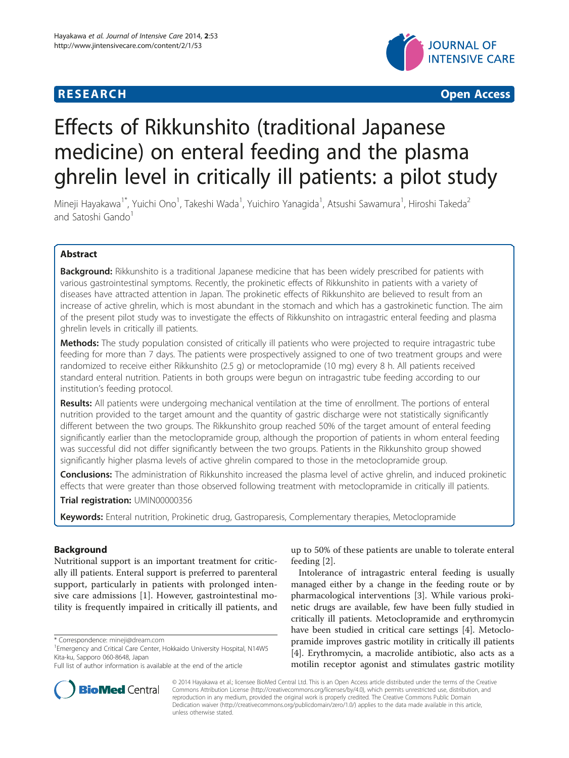# **RESEARCH CHEAR CHEAR CHEAR CHEAR CHEAR CHEAR CHEAR CHEAR CHEAR CHEAR CHEAR CHEAR CHEAR CHEAR CHEAR CHEAR CHEAR**



# Effects of Rikkunshito (traditional Japanese medicine) on enteral feeding and the plasma ghrelin level in critically ill patients: a pilot study

Mineji Hayakawa<sup>1\*</sup>, Yuichi Ono<sup>1</sup>, Takeshi Wada<sup>1</sup>, Yuichiro Yanagida<sup>1</sup>, Atsushi Sawamura<sup>1</sup>, Hiroshi Takeda<sup>2</sup> and Satoshi Gando<sup>1</sup>

# Abstract

**Background:** Rikkunshito is a traditional Japanese medicine that has been widely prescribed for patients with various gastrointestinal symptoms. Recently, the prokinetic effects of Rikkunshito in patients with a variety of diseases have attracted attention in Japan. The prokinetic effects of Rikkunshito are believed to result from an increase of active ghrelin, which is most abundant in the stomach and which has a gastrokinetic function. The aim of the present pilot study was to investigate the effects of Rikkunshito on intragastric enteral feeding and plasma ghrelin levels in critically ill patients.

Methods: The study population consisted of critically ill patients who were projected to require intragastric tube feeding for more than 7 days. The patients were prospectively assigned to one of two treatment groups and were randomized to receive either Rikkunshito (2.5 g) or metoclopramide (10 mg) every 8 h. All patients received standard enteral nutrition. Patients in both groups were begun on intragastric tube feeding according to our institution's feeding protocol.

Results: All patients were undergoing mechanical ventilation at the time of enrollment. The portions of enteral nutrition provided to the target amount and the quantity of gastric discharge were not statistically significantly different between the two groups. The Rikkunshito group reached 50% of the target amount of enteral feeding significantly earlier than the metoclopramide group, although the proportion of patients in whom enteral feeding was successful did not differ significantly between the two groups. Patients in the Rikkunshito group showed significantly higher plasma levels of active ghrelin compared to those in the metoclopramide group.

Conclusions: The administration of Rikkunshito increased the plasma level of active ghrelin, and induced prokinetic effects that were greater than those observed following treatment with metoclopramide in critically ill patients.

Trial registration: [UMIN00000356](https://upload.umin.ac.jp/cgi-open-bin/ctr/ctr.cgi?function=brows&action=brows&type=summary&recptno=R000004327&language=J)

Keywords: Enteral nutrition, Prokinetic drug, Gastroparesis, Complementary therapies, Metoclopramide

# Background

Nutritional support is an important treatment for critically ill patients. Enteral support is preferred to parenteral support, particularly in patients with prolonged intensive care admissions [\[1](#page-4-0)]. However, gastrointestinal motility is frequently impaired in critically ill patients, and



Intolerance of intragastric enteral feeding is usually managed either by a change in the feeding route or by pharmacological interventions [[3\]](#page-4-0). While various prokinetic drugs are available, few have been fully studied in critically ill patients. Metoclopramide and erythromycin have been studied in critical care settings [[4\]](#page-4-0). Metoclopramide improves gastric motility in critically ill patients [[4\]](#page-4-0). Erythromycin, a macrolide antibiotic, also acts as a motilin receptor agonist and stimulates gastric motility



© 2014 Hayakawa et al.; licensee BioMed Central Ltd. This is an Open Access article distributed under the terms of the Creative Commons Attribution License [\(http://creativecommons.org/licenses/by/4.0\)](http://creativecommons.org/licenses/by/4.0), which permits unrestricted use, distribution, and reproduction in any medium, provided the original work is properly credited. The Creative Commons Public Domain Dedication waiver [\(http://creativecommons.org/publicdomain/zero/1.0/](http://creativecommons.org/publicdomain/zero/1.0/)) applies to the data made available in this article, unless otherwise stated.

<sup>\*</sup> Correspondence: [mineji@dream.com](mailto:mineji@dream.com) <sup>1</sup>

<sup>&</sup>lt;sup>1</sup> Emergency and Critical Care Center, Hokkaido University Hospital, N14W5 Kita-ku, Sapporo 060-8648, Japan

Full list of author information is available at the end of the article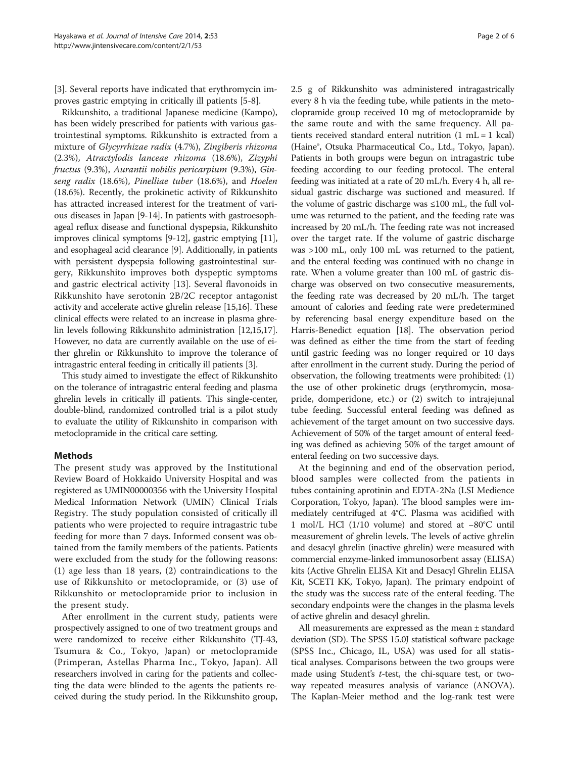[[3\]](#page-4-0). Several reports have indicated that erythromycin improves gastric emptying in critically ill patients [\[5](#page-4-0)-[8\]](#page-4-0).

Rikkunshito, a traditional Japanese medicine (Kampo), has been widely prescribed for patients with various gastrointestinal symptoms. Rikkunshito is extracted from a mixture of Glycyrrhizae radix (4.7%), Zingiberis rhizoma (2.3%), Atractylodis lanceae rhizoma (18.6%), Zizyphi fructus (9.3%), Aurantii nobilis pericarpium (9.3%), Ginseng radix (18.6%), Pinelliae tuber (18.6%), and Hoelen (18.6%). Recently, the prokinetic activity of Rikkunshito has attracted increased interest for the treatment of various diseases in Japan [[9-14\]](#page-4-0). In patients with gastroesophageal reflux disease and functional dyspepsia, Rikkunshito improves clinical symptoms [[9-12\]](#page-4-0), gastric emptying [[11](#page-4-0)], and esophageal acid clearance [\[9](#page-4-0)]. Additionally, in patients with persistent dyspepsia following gastrointestinal surgery, Rikkunshito improves both dyspeptic symptoms and gastric electrical activity [\[13](#page-4-0)]. Several flavonoids in Rikkunshito have serotonin 2B/2C receptor antagonist activity and accelerate active ghrelin release [\[15,16\]](#page-4-0). These clinical effects were related to an increase in plasma ghrelin levels following Rikkunshito administration [\[12,15,17](#page-4-0)]. However, no data are currently available on the use of either ghrelin or Rikkunshito to improve the tolerance of intragastric enteral feeding in critically ill patients [\[3\]](#page-4-0).

This study aimed to investigate the effect of Rikkunshito on the tolerance of intragastric enteral feeding and plasma ghrelin levels in critically ill patients. This single-center, double-blind, randomized controlled trial is a pilot study to evaluate the utility of Rikkunshito in comparison with metoclopramide in the critical care setting.

# Methods

The present study was approved by the Institutional Review Board of Hokkaido University Hospital and was registered as UMIN00000356 with the University Hospital Medical Information Network (UMIN) Clinical Trials Registry. The study population consisted of critically ill patients who were projected to require intragastric tube feeding for more than 7 days. Informed consent was obtained from the family members of the patients. Patients were excluded from the study for the following reasons: (1) age less than 18 years, (2) contraindications to the use of Rikkunshito or metoclopramide, or (3) use of Rikkunshito or metoclopramide prior to inclusion in the present study.

After enrollment in the current study, patients were prospectively assigned to one of two treatment groups and were randomized to receive either Rikkunshito (TJ-43, Tsumura & Co., Tokyo, Japan) or metoclopramide (Primperan, Astellas Pharma Inc., Tokyo, Japan). All researchers involved in caring for the patients and collecting the data were blinded to the agents the patients received during the study period. In the Rikkunshito group, 2.5 g of Rikkunshito was administered intragastrically every 8 h via the feeding tube, while patients in the metoclopramide group received 10 mg of metoclopramide by the same route and with the same frequency. All patients received standard enteral nutrition (1 mL = 1 kcal) (Haine®, Otsuka Pharmaceutical Co., Ltd., Tokyo, Japan). Patients in both groups were begun on intragastric tube feeding according to our feeding protocol. The enteral feeding was initiated at a rate of 20 mL/h. Every 4 h, all residual gastric discharge was suctioned and measured. If the volume of gastric discharge was ≤100 mL, the full volume was returned to the patient, and the feeding rate was increased by 20 mL/h. The feeding rate was not increased over the target rate. If the volume of gastric discharge was >100 mL, only 100 mL was returned to the patient, and the enteral feeding was continued with no change in rate. When a volume greater than 100 mL of gastric discharge was observed on two consecutive measurements, the feeding rate was decreased by 20 mL/h. The target amount of calories and feeding rate were predetermined by referencing basal energy expenditure based on the Harris-Benedict equation [[18\]](#page-4-0). The observation period was defined as either the time from the start of feeding until gastric feeding was no longer required or 10 days after enrollment in the current study. During the period of observation, the following treatments were prohibited: (1) the use of other prokinetic drugs (erythromycin, mosapride, domperidone, etc.) or (2) switch to intrajejunal tube feeding. Successful enteral feeding was defined as achievement of the target amount on two successive days. Achievement of 50% of the target amount of enteral feeding was defined as achieving 50% of the target amount of enteral feeding on two successive days.

At the beginning and end of the observation period, blood samples were collected from the patients in tubes containing aprotinin and EDTA-2Na (LSI Medience Corporation, Tokyo, Japan). The blood samples were immediately centrifuged at 4°C. Plasma was acidified with 1 mol/L HCl (1/10 volume) and stored at −80°C until measurement of ghrelin levels. The levels of active ghrelin and desacyl ghrelin (inactive ghrelin) were measured with commercial enzyme-linked immunosorbent assay (ELISA) kits (Active Ghrelin ELISA Kit and Desacyl Ghrelin ELISA Kit, SCETI KK, Tokyo, Japan). The primary endpoint of the study was the success rate of the enteral feeding. The secondary endpoints were the changes in the plasma levels of active ghrelin and desacyl ghrelin.

All measurements are expressed as the mean ± standard deviation (SD). The SPSS 15.0J statistical software package (SPSS Inc., Chicago, IL, USA) was used for all statistical analyses. Comparisons between the two groups were made using Student's t-test, the chi-square test, or twoway repeated measures analysis of variance (ANOVA). The Kaplan-Meier method and the log-rank test were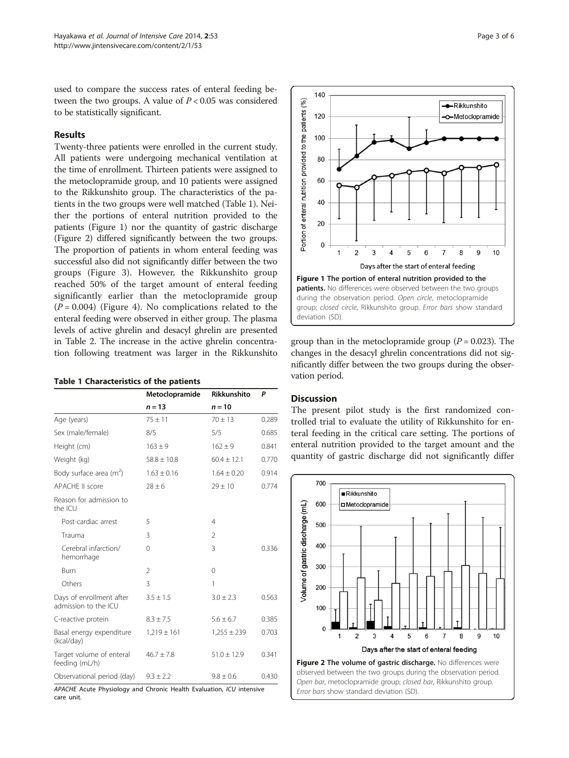used to compare the success rates of enteral feeding between the two groups. A value of  $P < 0.05$  was considered to be statistically significant.

# Results

Twenty-three patients were enrolled in the current study. All patients were undergoing mechanical ventilation at the time of enrollment. Thirteen patients were assigned to the metoclopramide group, and 10 patients were assigned to the Rikkunshito group. The characteristics of the patients in the two groups were well matched (Table 1). Neither the portions of enteral nutrition provided to the patients (Figure 1) nor the quantity of gastric discharge (Figure 2) differed significantly between the two groups. The proportion of patients in whom enteral feeding was successful also did not significantly differ between the two groups (Figure [3\)](#page-3-0). However, the Rikkunshito group reached 50% of the target amount of enteral feeding significantly earlier than the metoclopramide group  $(P = 0.004)$  (Figure [4\)](#page-3-0). No complications related to the enteral feeding were observed in either group. The plasma levels of active ghrelin and desacyl ghrelin are presented in Table [2.](#page-3-0) The increase in the active ghrelin concentration following treatment was larger in the Rikkunshito

#### Table 1 Characteristics of the patients

|                                                  | Metoclopramide  | Rikkunshito     | P     |
|--------------------------------------------------|-----------------|-----------------|-------|
|                                                  | $n = 13$        | $n = 10$        |       |
| Age (years)                                      | $75 + 11$       | $70 + 13$       | 0.289 |
| Sex (male/female)                                | 8/5             | 5/5             | 0.685 |
| Height (cm)                                      | $163 \pm 9$     | $162 \pm 9$     | 0.841 |
| Weight (kg)                                      | $58.8 \pm 10.8$ | $60.4 + 12.1$   | 0.770 |
| Body surface area $(m^2)$                        | $1.63 \pm 0.16$ | $1.64 + 0.20$   | 0.914 |
| <b>APACHE II score</b>                           | $28 \pm 6$      | $29 \pm 10$     | 0.774 |
| Reason for admission to<br>the ICU               |                 |                 |       |
| Post-cardiac arrest                              | 5               | $\overline{4}$  |       |
| Trauma                                           | 3               | $\mathfrak{D}$  |       |
| Cerebral infarction/<br>hemorrhage               | 0               | 3               | 0.336 |
| Burn                                             | $\mathfrak{D}$  | $\Omega$        |       |
| Others                                           | 3               | 1               |       |
| Days of enrollment after<br>admission to the ICU | $3.5 \pm 1.5$   | $3.0 \pm 2.3$   | 0.563 |
| C-reactive protein                               | $8.3 \pm 7.5$   | $5.6 \pm 6.7$   | 0.385 |
| Basal energy expenditure<br>(kcal/day)           | $1,219 \pm 161$ | $1,255 \pm 239$ | 0.703 |
| Target volume of enteral<br>feeding (mL/h)       | $46.7 \pm 7.8$  | $51.0 \pm 12.9$ | 0.341 |
| Observational period (day)                       | $9.3 \pm 2.2$   | $9.8 \pm 0.6$   | 0.430 |

APACHE Acute Physiology and Chronic Health Evaluation, ICU intensive care unit.



group than in the metoclopramide group ( $P = 0.023$ ). The changes in the desacyl ghrelin concentrations did not significantly differ between the two groups during the observation period.

### **Discussion**

The present pilot study is the first randomized controlled trial to evaluate the utility of Rikkunshito for enteral feeding in the critical care setting. The portions of enteral nutrition provided to the target amount and the quantity of gastric discharge did not significantly differ

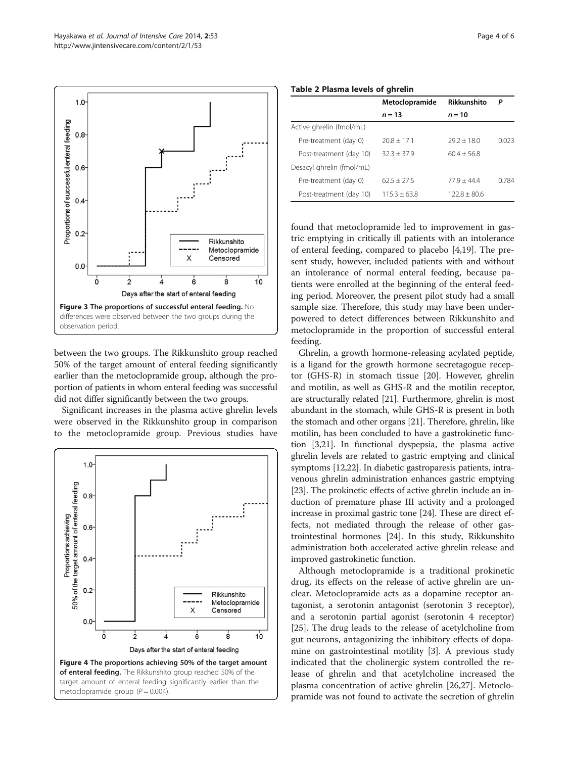<span id="page-3-0"></span> $1.0$ 



between the two groups. The Rikkunshito group reached 50% of the target amount of enteral feeding significantly earlier than the metoclopramide group, although the proportion of patients in whom enteral feeding was successful did not differ significantly between the two groups.

Significant increases in the plasma active ghrelin levels were observed in the Rikkunshito group in comparison to the metoclopramide group. Previous studies have



|                           | Metoclopramide | Rikkunshito    | Р     |
|---------------------------|----------------|----------------|-------|
|                           | $n = 13$       | $n = 10$       |       |
| Active ghrelin (fmol/mL)  |                |                |       |
| Pre-treatment (day 0)     | $20.8 + 17.1$  | $797 + 180$    | 0023  |
| Post-treatment (day 10)   | $32.3 + 37.9$  | $60.4 + 56.8$  |       |
| Desacyl ghrelin (fmol/mL) |                |                |       |
| Pre-treatment (day 0)     | $62.5 + 27.5$  | $77.9 + 44.4$  | 0.784 |
| Post-treatment (day 10)   | $115.3 + 63.8$ | $122.8 + 80.6$ |       |

found that metoclopramide led to improvement in gastric emptying in critically ill patients with an intolerance of enteral feeding, compared to placebo [[4](#page-4-0),[19](#page-4-0)]. The present study, however, included patients with and without an intolerance of normal enteral feeding, because patients were enrolled at the beginning of the enteral feeding period. Moreover, the present pilot study had a small sample size. Therefore, this study may have been underpowered to detect differences between Rikkunshito and metoclopramide in the proportion of successful enteral feeding.

Ghrelin, a growth hormone-releasing acylated peptide, is a ligand for the growth hormone secretagogue receptor (GHS-R) in stomach tissue [[20](#page-4-0)]. However, ghrelin and motilin, as well as GHS-R and the motilin receptor, are structurally related [[21](#page-4-0)]. Furthermore, ghrelin is most abundant in the stomach, while GHS-R is present in both the stomach and other organs [\[21\]](#page-4-0). Therefore, ghrelin, like motilin, has been concluded to have a gastrokinetic function [\[3,21\]](#page-4-0). In functional dyspepsia, the plasma active ghrelin levels are related to gastric emptying and clinical symptoms [[12,22\]](#page-4-0). In diabetic gastroparesis patients, intravenous ghrelin administration enhances gastric emptying [[23](#page-4-0)]. The prokinetic effects of active ghrelin include an induction of premature phase III activity and a prolonged increase in proximal gastric tone [\[24](#page-4-0)]. These are direct effects, not mediated through the release of other gastrointestinal hormones [\[24\]](#page-4-0). In this study, Rikkunshito administration both accelerated active ghrelin release and improved gastrokinetic function.

Although metoclopramide is a traditional prokinetic drug, its effects on the release of active ghrelin are unclear. Metoclopramide acts as a dopamine receptor antagonist, a serotonin antagonist (serotonin 3 receptor), and a serotonin partial agonist (serotonin 4 receptor) [[25\]](#page-4-0). The drug leads to the release of acetylcholine from gut neurons, antagonizing the inhibitory effects of dopamine on gastrointestinal motility [\[3](#page-4-0)]. A previous study indicated that the cholinergic system controlled the release of ghrelin and that acetylcholine increased the plasma concentration of active ghrelin [[26](#page-4-0),[27](#page-5-0)]. Metoclopramide was not found to activate the secretion of ghrelin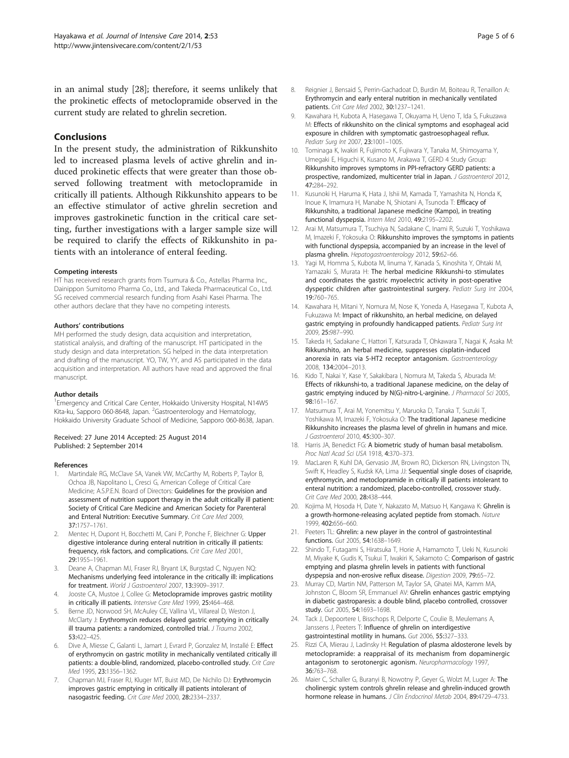<span id="page-4-0"></span>in an animal study [\[28\]](#page-5-0); therefore, it seems unlikely that the prokinetic effects of metoclopramide observed in the current study are related to ghrelin secretion.

# **Conclusions**

In the present study, the administration of Rikkunshito led to increased plasma levels of active ghrelin and induced prokinetic effects that were greater than those observed following treatment with metoclopramide in critically ill patients. Although Rikkunshito appears to be an effective stimulator of active ghrelin secretion and improves gastrokinetic function in the critical care setting, further investigations with a larger sample size will be required to clarify the effects of Rikkunshito in patients with an intolerance of enteral feeding.

#### Competing interests

HT has received research grants from Tsumura & Co., Astellas Pharma Inc., Dainippon Sumitomo Pharma Co., Ltd., and Takeda Pharmaceutical Co., Ltd. SG received commercial research funding from Asahi Kasei Pharma. The other authors declare that they have no competing interests.

#### Authors' contributions

MH performed the study design, data acquisition and interpretation, statistical analysis, and drafting of the manuscript. HT participated in the study design and data interpretation. SG helped in the data interpretation and drafting of the manuscript. YO, TW, YY, and AS participated in the data acquisition and interpretation. All authors have read and approved the final manuscript.

#### Author details

<sup>1</sup> Emergency and Critical Care Center, Hokkaido University Hospital, N14W5 Kita-ku, Sapporo 060-8648, Japan. <sup>2</sup>Gastroenterology and Hematology, Hokkaido University Graduate School of Medicine, Sapporo 060-8638, Japan.

#### Received: 27 June 2014 Accepted: 25 August 2014 Published: 2 September 2014

#### References

- Martindale RG, McClave SA, Vanek VW, McCarthy M, Roberts P, Taylor B, Ochoa JB, Napolitano L, Cresci G, American College of Critical Care Medicine; A.S.P.E.N. Board of Directors: Guidelines for the provision and assessment of nutrition support therapy in the adult critically ill patient: Society of Critical Care Medicine and American Society for Parenteral and Enteral Nutrition: Executive Summary. Crit Care Med 2009, 37:1757–1761.
- Mentec H, Dupont H, Bocchetti M, Cani P, Ponche F, Bleichner G: Upper digestive intolerance during enteral nutrition in critically ill patients: frequency, risk factors, and complications. Crit Care Med 2001, 29:1955–1961.
- 3. Deane A, Chapman MJ, Fraser RJ, Bryant LK, Burgstad C, Nguyen NQ: Mechanisms underlying feed intolerance in the critically ill: implications for treatment. World J Gastroenterol 2007, 13:3909–3917.
- Jooste CA, Mustoe J, Collee G: Metoclopramide improves gastric motility in critically ill patients. Intensive Care Med 1999, 25:464–468.
- Berne JD, Norwood SH, McAuley CE, Vallina VL, Villareal D, Weston J, McClarty J: Erythromycin reduces delayed gastric emptying in critically ill trauma patients: a randomized, controlled trial. J Trauma 2002, 53:422–425.
- Dive A, Miesse C, Galanti L, Jamart J, Evrard P, Gonzalez M, Installé E: Effect of erythromycin on gastric motility in mechanically ventilated critically ill patients: a double-blind, randomized, placebo-controlled study. Crit Care Med 1995, 23:1356–1362.
- Chapman MJ, Fraser RJ, Kluger MT, Buist MD, De Nichilo DJ: Erythromycin improves gastric emptying in critically ill patients intolerant of nasogastric feeding. Crit Care Med 2000, 28:2334–2337.
- 8. Reignier J, Bensaid S, Perrin-Gachadoat D, Burdin M, Boiteau R, Tenaillon A: Erythromycin and early enteral nutrition in mechanically ventilated patients. Crit Care Med 2002, 30:1237–1241.
- 9. Kawahara H, Kubota A, Hasegawa T, Okuyama H, Ueno T, Ida S, Fukuzawa M: Effects of rikkunshito on the clinical symptoms and esophageal acid exposure in children with symptomatic gastroesophageal reflux. Pediatr Surg Int 2007, 23:1001–1005.
- 10. Tominaga K, Iwakiri R, Fujimoto K, Fujiwara Y, Tanaka M, Shimoyama Y, Umegaki E, Higuchi K, Kusano M, Arakawa T, GERD 4 Study Group: Rikkunshito improves symptoms in PPI-refractory GERD patients: a prospective, randomized, multicenter trial in Japan. J Gastroenterol 2012, 47:284–292.
- 11. Kusunoki H, Haruma K, Hata J, Ishii M, Kamada T, Yamashita N, Honda K, Inoue K, Imamura H, Manabe N, Shiotani A, Tsunoda T: Efficacy of Rikkunshito, a traditional Japanese medicine (Kampo), in treating functional dyspepsia. Intern Med 2010, 49:2195–2202.
- 12. Arai M, Matsumura T, Tsuchiya N, Sadakane C, Inami R, Suzuki T, Yoshikawa M, Imazeki F, Yokosuka O: Rikkunshito improves the symptoms in patients with functional dyspepsia, accompanied by an increase in the level of plasma ghrelin. Hepatogastroenterology 2012, 59:62–66.
- 13. Yagi M, Homma S, Kubota M, Iinuma Y, Kanada S, Kinoshita Y, Ohtaki M, Yamazaki S, Murata H: The herbal medicine Rikkunshi-to stimulates and coordinates the gastric myoelectric activity in post-operative dyspeptic children after gastrointestinal surgery. Pediatr Surg Int 2004, 19:760–765.
- 14. Kawahara H, Mitani Y, Nomura M, Nose K, Yoneda A, Hasegawa T, Kubota A, Fukuzawa M: Impact of rikkunshito, an herbal medicine, on delayed gastric emptying in profoundly handicapped patients. Pediatr Surg Int 2009, 25:987–990.
- 15. Takeda H, Sadakane C, Hattori T, Katsurada T, Ohkawara T, Nagai K, Asaka M: Rikkunshito, an herbal medicine, suppresses cisplatin-induced anorexia in rats via 5-HT2 receptor antagonism. Gastroenterology 2008, 134:2004–2013.
- 16. Kido T, Nakai Y, Kase Y, Sakakibara I, Nomura M, Takeda S, Aburada M: Effects of rikkunshi-to, a traditional Japanese medicine, on the delay of gastric emptying induced by N(G)-nitro-L-arginine. J Pharmacol Sci 2005, 98:161–167.
- 17. Matsumura T, Arai M, Yonemitsu Y, Maruoka D, Tanaka T, Suzuki T, Yoshikawa M, Imazeki F, Yokosuka O: The traditional Japanese medicine Rikkunshito increases the plasma level of ghrelin in humans and mice. J Gastroenterol 2010, 45:300–307.
- 18. Harris JA, Benedict FG: A biometric study of human basal metabolism. Proc Natl Acad Sci USA 1918, 4:370–373.
- 19. MacLaren R, Kuhl DA, Gervasio JM, Brown RO, Dickerson RN, Livingston TN, Swift K, Headley S, Kudsk KA, Lima JJ: Sequential single doses of cisapride, erythromycin, and metoclopramide in critically ill patients intolerant to enteral nutrition: a randomized, placebo-controlled, crossover study. Crit Care Med 2000, 28:438–444.
- 20. Kojima M, Hosoda H, Date Y, Nakazato M, Matsuo H, Kangawa K: Ghrelin is a growth-hormone-releasing acylated peptide from stomach. Nature 1999, 402:656–660.
- 21. Peeters TL: Ghrelin: a new player in the control of gastrointestinal functions. Gut 2005, 54:1638–1649.
- 22. Shindo T, Futagami S, Hiratsuka T, Horie A, Hamamoto T, Ueki N, Kusunoki M, Miyake K, Gudis K, Tsukui T, Iwakiri K, Sakamoto C: Comparison of gastric emptying and plasma ghrelin levels in patients with functional dyspepsia and non-erosive reflux disease. Digestion 2009, 79:65–72.
- 23. Murray CD, Martin NM, Patterson M, Taylor SA, Ghatei MA, Kamm MA, Johnston C, Bloom SR, Emmanuel AV: Ghrelin enhances gastric emptying in diabetic gastroparesis: a double blind, placebo controlled, crossover study. Gut 2005, 54:1693–1698.
- 24. Tack J, Depoortere I, Bisschops R, Delporte C, Coulie B, Meulemans A, Janssens J, Peeters T: Influence of ghrelin on interdigestive gastrointestinal motility in humans. Gut 2006, 55:327–333.
- 25. Rizzi CA, Mierau J, Ladinsky H: Regulation of plasma aldosterone levels by metoclopramide: a reappraisal of its mechanism from dopaminergic antagonism to serotonergic agonism. Neuropharmacology 1997, 36:763–768.
- 26. Maier C, Schaller G, Buranyi B, Nowotny P, Geyer G, Wolzt M, Luger A: The cholinergic system controls ghrelin release and ghrelin-induced growth hormone release in humans. J Clin Endocrinol Metab 2004, 89:4729-4733.